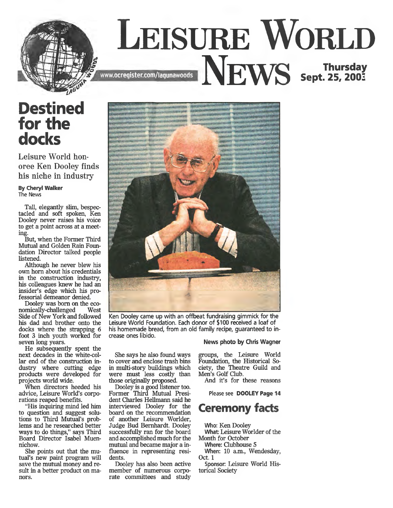

## **Destined for the docks**

Leisure World honoree Ken Dooley finds his niche in industry

**By Cheryl Walker The News**

Tall, elegantly slim, bespectacled and soft spoken, Ken Dooley never raises his voice to get a point across at a meeting.

But, when the Former Third Mutual and Golden Rain Foundation Director talked people listened.

Although he never blew his own horn about his credentials in the construction industry, his colleagues knew he had an insider's edge which his professorial demeanor denied.

Dooley was born on the eco-<br>mically-challenged West nomically-challenged Side of New York and followed his dad and brother onto the docks where the strapping 6 foot 3 inch youth worked for seven long years.

He subsequently spent the next decades in the white-collar end of the construction industry where cutting edge products were developed for projects world wide.

When directors heeded his advice, Leisure World's corporations reaped benefits.

"His inquiring mind led him to question and suggest solutions to Third Mutual's problems and he researched better ways to do things," says Third Board Director Isabel Muennichow.

She points out that the mutual's new paint program will save the mutual money and result in a better product on manors.



**Ken Dooley came up with an offbeat fundraising gimmick for the Leisure World Foundation. Each donor of \$100 received a loaf of his homemade bread, from an old family recipe, guaranteed to increase ones libido. News photo by Chris Wagner**

Dooley is a good listener too. Former Third Mutual President Charles Hellmann said he interviewed Dooley for the board on the recommendation of another Leisure Worlder, Judge Bud Bernhardt. Dooley successfully ran for the board and accomplished much for the mutual and became major a influence in representing resi-

Dooley has also been active member of numerous corporate committees and study

dents.

She says he also found ways groups, the Leisure World

to cover and enclose trash bins in multi-story buildings which were must less costly than those originally proposed. Foundation, the Historical Society, the Theatre Guild and Men's Golf Club.

And it's for these reasons

**Please see DOOLEY Page 14**

## **Ceremony facts**

Who: Ken Dooley What: Leisure Worlder of the Month for October

Where: Clubhouse 5 When: 10 a.m., Wendesday,

Oct. 1 Sponsor: Leisure World His-

torical Society